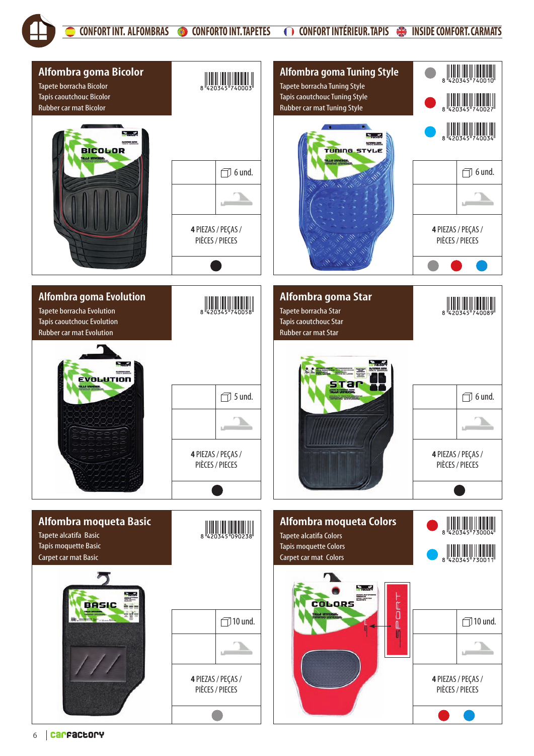CONFORT INT. ALFOMBRAS CONFORTO INT. TAPETES CONFORT INTÉRIEUR. TAPIS SUNSIDE COMFORT. CARMATS